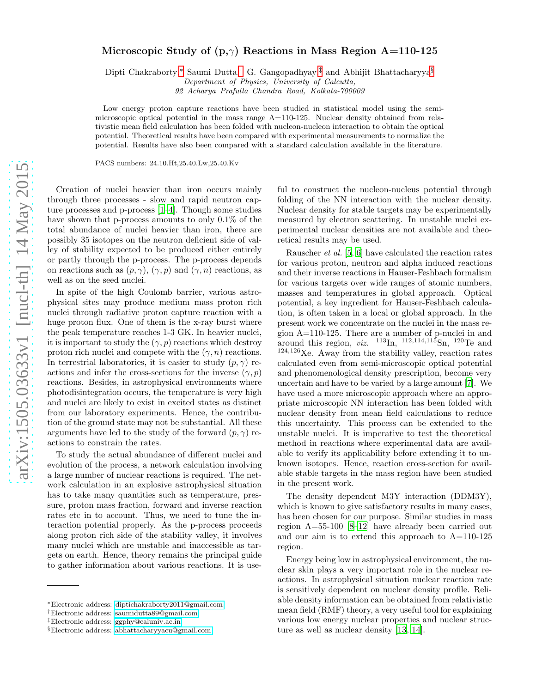## Microscopic Study of (p, $\gamma$ ) Reactions in Mass Region A=110-125

Dipti Chakraborty,[∗](#page-0-0) Saumi Dutta,[†](#page-0-1) G. Gangopadhyay,[‡](#page-0-2) and Abhijit Bhattacharyya[§](#page-0-3)

Department of Physics, University of Calcutta,

92 Acharya Prafulla Chandra Road, Kolkata-700009

Low energy proton capture reactions have been studied in statistical model using the semimicroscopic optical potential in the mass range A=110-125. Nuclear density obtained from relativistic mean field calculation has been folded with nucleon-nucleon interaction to obtain the optical potential. Theoretical results have been compared with experimental measurements to normalize the potential. Results have also been compared with a standard calculation available in the literature.

PACS numbers: 24.10.Ht,25.40.Lw,25.40.Kv

Creation of nuclei heavier than iron occurs mainly through three processes - slow and rapid neutron capture processes and p-process [\[1](#page-3-0)[–4\]](#page-3-1). Though some studies have shown that p-process amounts to only 0.1% of the total abundance of nuclei heavier than iron, there are possibly 35 isotopes on the neutron deficient side of valley of stability expected to be produced either entirely or partly through the p-process. The p-process depends on reactions such as  $(p, \gamma)$ ,  $(\gamma, p)$  and  $(\gamma, n)$  reactions, as well as on the seed nuclei.

In spite of the high Coulomb barrier, various astrophysical sites may produce medium mass proton rich nuclei through radiative proton capture reaction with a huge proton flux. One of them is the x-ray burst where the peak temperature reaches 1-3 GK. In heavier nuclei, it is important to study the  $(\gamma, p)$  reactions which destroy proton rich nuclei and compete with the  $(\gamma, n)$  reactions. In terrestrial laboratories, it is easier to study  $(p, \gamma)$  reactions and infer the cross-sections for the inverse  $(\gamma, p)$ reactions. Besides, in astrophysical environments where photodisintegration occurs, the temperature is very high and nuclei are likely to exist in excited states as distinct from our laboratory experiments. Hence, the contribution of the ground state may not be substantial. All these arguments have led to the study of the forward  $(p, \gamma)$  reactions to constrain the rates.

To study the actual abundance of different nuclei and evolution of the process, a network calculation involving a large number of nuclear reactions is required. The network calculation in an explosive astrophysical situation has to take many quantities such as temperature, pressure, proton mass fraction, forward and inverse reaction rates etc in to account. Thus, we need to tune the interaction potential properly. As the p-process proceeds along proton rich side of the stability valley, it involves many nuclei which are unstable and inaccessible as targets on earth. Hence, theory remains the principal guide to gather information about various reactions. It is use-

ful to construct the nucleon-nucleus potential through folding of the NN interaction with the nuclear density. Nuclear density for stable targets may be experimentally measured by electron scattering. In unstable nuclei experimental nuclear densities are not available and theoretical results may be used.

Rauscher et al. [\[5,](#page-3-2) [6](#page-3-3)] have calculated the reaction rates for various proton, neutron and alpha induced reactions and their inverse reactions in Hauser-Feshbach formalism for various targets over wide ranges of atomic numbers, masses and temperatures in global approach. Optical potential, a key ingredient for Hauser-Feshbach calculation, is often taken in a local or global approach. In the present work we concentrate on the nuclei in the mass region A=110-125. There are a number of p-nuclei in and around this region, *viz.*  $^{113}$ In,  $^{112,114,115}$ Sn,  $^{120}$ Te and  $124,126$ Xe. Away from the stability valley, reaction rates calculated even from semi-microscopic optical potential and phenomenological density prescription, become very uncertain and have to be varied by a large amount [\[7\]](#page-3-4). We have used a more microscopic approach where an appropriate microscopic NN interaction has been folded with nuclear density from mean field calculations to reduce this uncertainty. This process can be extended to the unstable nuclei. It is imperative to test the theoretical method in reactions where experimental data are available to verify its applicability before extending it to unknown isotopes. Hence, reaction cross-section for available stable targets in the mass region have been studied in the present work.

The density dependent M3Y interaction (DDM3Y), which is known to give satisfactory results in many cases, has been chosen for our purpose. Similar studies in mass region A=55-100 [\[8](#page-3-5)[–12\]](#page-3-6) have already been carried out and our aim is to extend this approach to A=110-125 region.

Energy being low in astrophysical environment, the nuclear skin plays a very important role in the nuclear reactions. In astrophysical situation nuclear reaction rate is sensitively dependent on nuclear density profile. Reliable density information can be obtained from relativistic mean field (RMF) theory, a very useful tool for explaining various low energy nuclear properties and nuclear structure as well as nuclear density [\[13,](#page-3-7) [14\]](#page-3-8).

<span id="page-0-0"></span><sup>∗</sup>Electronic address: [diptichakraborty2011@gmail.com](mailto:diptichakraborty2011@gmail.com)

<span id="page-0-1"></span><sup>†</sup>Electronic address: [saumidutta89@gmail.com](mailto:saumidutta89@gmail.com)

<span id="page-0-2"></span><sup>‡</sup>Electronic address: [ggphy@caluniv.ac.in](mailto:ggphy@caluniv.ac.in)

<span id="page-0-3"></span><sup>§</sup>Electronic address: [abhattacharyyacu@gmail.com](mailto:abhattacharyyacu@gmail.com)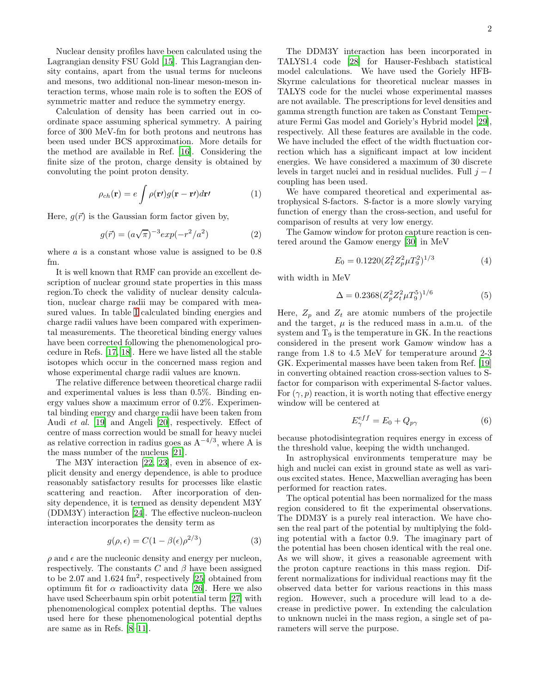Nuclear density profiles have been calculated using the Lagrangian density FSU Gold [\[15](#page-3-9)]. This Lagrangian density contains, apart from the usual terms for nucleons and mesons, two additional non-linear meson-meson interaction terms, whose main role is to soften the EOS of symmetric matter and reduce the symmetry energy.

Calculation of density has been carried out in coordinate space assuming spherical symmetry. A pairing force of 300 MeV-fm for both protons and neutrons has been used under BCS approximation. More details for the method are available in Ref. [\[16](#page-3-10)]. Considering the finite size of the proton, charge density is obtained by convoluting the point proton density.

$$
\rho_{ch}(\mathbf{r}) = e \int \rho(\mathbf{r}) g(\mathbf{r} - \mathbf{r}) d\mathbf{r} \qquad (1)
$$

Here,  $q(\vec{r})$  is the Gaussian form factor given by,

$$
g(\vec{r}) = (a\sqrt{\pi})^{-3} exp(-r^2/a^2)
$$
 (2)

where  $\alpha$  is a constant whose value is assigned to be 0.8 fm.

It is well known that RMF can provide an excellent description of nuclear ground state properties in this mass region.To check the validity of nuclear density calculation, nuclear charge radii may be compared with measured values. In table [I](#page-2-0) calculated binding energies and charge radii values have been compared with experimental measurements. The theoretical binding energy values have been corrected following the phenomenological procedure in Refs. [\[17,](#page-3-11) [18\]](#page-3-12). Here we have listed all the stable isotopes which occur in the concerned mass region and whose experimental charge radii values are known.

The relative difference between theoretical charge radii and experimental values is less than 0.5%. Binding energy values show a maximum error of 0.2%. Experimental binding energy and charge radii have been taken from Audi et al. [\[19\]](#page-3-13) and Angeli [\[20\]](#page-3-14), respectively. Effect of centre of mass correction would be small for heavy nuclei as relative correction in radius goes as  $A^{-4/3}$ , where A is the mass number of the nucleus [\[21](#page-3-15)].

The M3Y interaction [\[22](#page-3-16), [23](#page-3-17)], even in absence of explicit density and energy dependence, is able to produce reasonably satisfactory results for processes like elastic scattering and reaction. After incorporation of density dependence, it is termed as density dependent M3Y (DDM3Y) interaction [\[24\]](#page-3-18). The effective nucleon-nucleon interaction incorporates the density term as

$$
g(\rho, \epsilon) = C(1 - \beta(\epsilon)\rho^{2/3})
$$
\n(3)

 $\rho$  and  $\epsilon$  are the nucleonic density and energy per nucleon, respectively. The constants C and  $\beta$  have been assigned to be 2.07 and 1.624 fm<sup>2</sup>, respectively [\[25\]](#page-3-19) obtained from optimum fit for  $\alpha$  radioactivity data [\[26](#page-4-0)]. Here we also have used Scheerbaum spin orbit potential term [\[27](#page-4-1)] with phenomenological complex potential depths. The values used here for these phenomenological potential depths are same as in Refs. [\[8](#page-3-5)[–11\]](#page-3-20).

The DDM3Y interaction has been incorporated in TALYS1.4 code [\[28\]](#page-4-2) for Hauser-Feshbach statistical model calculations. We have used the Goriely HFB-Skyrme calculations for theoretical nuclear masses in TALYS code for the nuclei whose experimental masses are not available. The prescriptions for level densities and gamma strength function are taken as Constant Temperature Fermi Gas model and Goriely's Hybrid model [\[29\]](#page-4-3), respectively. All these features are available in the code. We have included the effect of the width fluctuation correction which has a significant impact at low incident energies. We have considered a maximum of 30 discrete levels in target nuclei and in residual nuclides. Full  $j - l$ coupling has been used.

We have compared theoretical and experimental astrophysical S-factors. S-factor is a more slowly varying function of energy than the cross-section, and useful for comparison of results at very low energy.

The Gamow window for proton capture reaction is centered around the Gamow energy [\[30](#page-4-4)] in MeV

$$
E_0 = 0.1220(Z_t^2 Z_p^2 \mu T_9^2)^{1/3} \tag{4}
$$

with width in MeV

$$
\Delta = 0.2368(Z_p^2 Z_t^2 \mu T_9^5)^{1/6} \tag{5}
$$

Here,  $Z_p$  and  $Z_t$  are atomic numbers of the projectile and the target,  $\mu$  is the reduced mass in a.m.u. of the system and  $T<sub>9</sub>$  is the temperature in GK. In the reactions considered in the present work Gamow window has a range from 1.8 to 4.5 MeV for temperature around 2-3 GK. Experimental masses have been taken from Ref. [\[19](#page-3-13)] in converting obtained reaction cross-section values to Sfactor for comparison with experimental S-factor values. For  $(\gamma, p)$  reaction, it is worth noting that effective energy window will be centered at

$$
E_{\gamma}^{eff} = E_0 + Q_{p\gamma} \tag{6}
$$

because photodisintegration requires energy in excess of the threshold value, keeping the width unchanged.

In astrophysical environments temperature may be high and nuclei can exist in ground state as well as various excited states. Hence, Maxwellian averaging has been performed for reaction rates.

The optical potential has been normalized for the mass region considered to fit the experimental observations. The DDM3Y is a purely real interaction. We have chosen the real part of the potential by multiplying the folding potential with a factor 0.9. The imaginary part of the potential has been chosen identical with the real one. As we will show, it gives a reasonable agreement with the proton capture reactions in this mass region. Different normalizations for individual reactions may fit the observed data better for various reactions in this mass region. However, such a procedure will lead to a decrease in predictive power. In extending the calculation to unknown nuclei in the mass region, a single set of parameters will serve the purpose.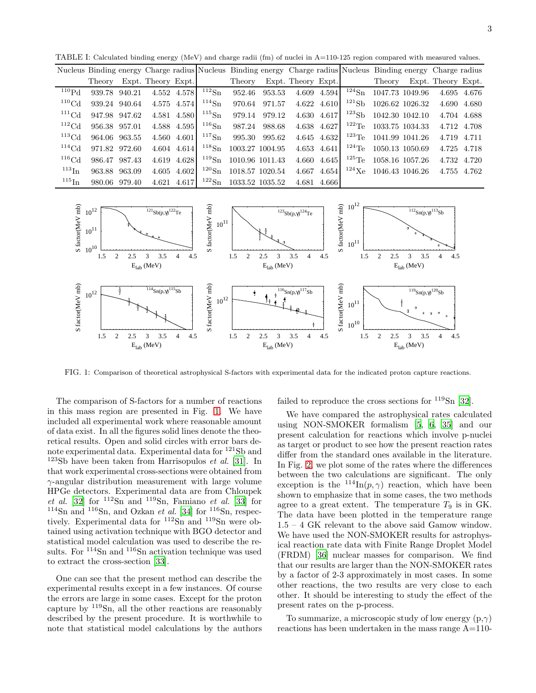<span id="page-2-0"></span>

|                     |                           |  |             |                         |                                   |               |                 | Nucleus Binding energy Charge radius Nucleus Binding energy Charge radius Nucleus Binding energy Charge radius |                                  |                           |             |             |
|---------------------|---------------------------|--|-------------|-------------------------|-----------------------------------|---------------|-----------------|----------------------------------------------------------------------------------------------------------------|----------------------------------|---------------------------|-------------|-------------|
|                     | Theory Expt. Theory Expt. |  |             |                         | Theory Expt. Theory Expt.         |               |                 |                                                                                                                |                                  | Theory Expt. Theory Expt. |             |             |
| $^{110}\mathrm{Pd}$ | 939.78 940.21             |  |             | 4.552 4.578 $^{112}Sn$  | 952.46                            | 953.53        | 4.609 4.594     |                                                                                                                | $124$ Sn 1047.73 1049.96         |                           |             | 4.695 4.676 |
| $110 \text{Cd}$     | 939.24 940.64             |  | 4.575 4.574 | $114\text{Sn}$          |                                   | 970.64 971.57 | 4.622 4.610     |                                                                                                                | $121\,\text{Sb}$ 1026.62 1026.32 |                           |             | 4.690 4.680 |
| $^{111}$ Cd         | 947.98 947.62             |  |             | 4.581 4.580 $115$ Sn    |                                   | 979.14 979.12 | 4.630 4.617     |                                                                                                                | $123$ Sb 1042.30 1042.10         |                           |             | 4.704 4.688 |
| $^{112}$ Cd         | 956.38 957.01             |  | 4.588 4.595 | $^{116}\mathrm{Sn}$     |                                   | 987.24 988.68 | 4.638 4.627     | $^{122}$ Te                                                                                                    | 1033.75 1034.33                  |                           |             | 4.712 4.708 |
| $^{113}$ Cd         | 964.06 963.55             |  |             | 4.560 4.601 $117\$ {Sn} |                                   | 995.30 995.62 | 4.645 4.632     |                                                                                                                | $123$ Te 1041.99 1041.26         |                           | 4.719 4.711 |             |
| $^{114}$ Cd         | 971.82 972.60             |  | 4.604 4.614 |                         | $^{118}\text{Sn}$ 1003.27 1004.95 |               | $4.653$ $4.641$ |                                                                                                                | $124$ Te 1050.13 1050.69         |                           |             | 4.725 4.718 |
| $116 \text{Cd}$     | 986.47 987.43             |  | 4.619 4.628 |                         | $119$ Sn 1010.96 1011.43          |               | 4.660 4.645     |                                                                                                                | $125$ Te 1058.16 1057.26         |                           |             | 4.732 4.720 |
| $^{113}$ In         | 963.88 963.09             |  | 4.605 4.602 |                         | $120$ Sn 1018.57 1020.54          |               |                 | 4.667 4.654 $124$ Xe 1046.43 1046.26                                                                           |                                  |                           |             | 4.755 4.762 |
| $^{115}$ In         | 980.06 979.40             |  | 4.621 4.617 |                         | $122$ Sn 1033.52 1035.52          |               | 4.681 4.666     |                                                                                                                |                                  |                           |             |             |

TABLE I: Calculated binding energy (MeV) and charge radii (fm) of nuclei in A=110-125 region compared with measured values.



<span id="page-2-1"></span>FIG. 1: Comparison of theoretical astrophysical S-factors with experimental data for the indicated proton capture reactions.

The comparison of S-factors for a number of reactions in this mass region are presented in Fig. [1.](#page-2-1) We have included all experimental work where reasonable amount of data exist. In all the figures solid lines denote the theoretical results. Open and solid circles with error bars denote experimental data. Experimental data for  $^{121}{\rm Sb}$  and  $123Sb$  have been taken from Harrisopulos *et al.* [\[31\]](#page-4-5). In that work experimental cross-sections were obtained from  $\gamma$ -angular distribution measurement with large volume HPGe detectors. Experimental data are from Chloupek et al.  $[32]$  for  $112\text{Sn}$  and  $119\text{Sn}$ , Famiano et al.  $[33]$  for  $114$ Sn and  $116$ Sn, and Ozkan et al. [\[34\]](#page-4-8) for  $116$ Sn, respectively. Experimental data for <sup>112</sup>Sn and <sup>119</sup>Sn were obtained using activation technique with BGO detector and statistical model calculation was used to describe the results. For  $114\text{Sn}$  and  $116\text{Sn}$  activation technique was used to extract the cross-section [\[33\]](#page-4-7).

One can see that the present method can describe the experimental results except in a few instances. Of course the errors are large in some cases. Except for the proton capture by <sup>119</sup>Sn, all the other reactions are reasonably described by the present procedure. It is worthwhile to note that statistical model calculations by the authors failed to reproduce the cross sections for  $119\text{Sn}$  [\[32\]](#page-4-6).

We have compared the astrophysical rates calculated using NON-SMOKER formalism [\[5](#page-3-2), [6,](#page-3-3) [35](#page-4-9)] and our present calculation for reactions which involve p-nuclei as target or product to see how the present reaction rates differ from the standard ones available in the literature. In Fig. [2,](#page-3-21) we plot some of the rates where the differences between the two calculations are significant. The only exception is the  $^{114}$ In(p,  $\gamma$ ) reaction, which have been shown to emphasize that in some cases, the two methods agree to a great extent. The temperature  $T_9$  is in GK. The data have been plotted in the temperature range 1.5 – 4 GK relevant to the above said Gamow window. We have used the NON-SMOKER results for astrophysical reaction rate data with Finite Range Droplet Model (FRDM) [\[36\]](#page-4-10) nuclear masses for comparison. We find that our results are larger than the NON-SMOKER rates by a factor of 2-3 approximately in most cases. In some other reactions, the two results are very close to each other. It should be interesting to study the effect of the present rates on the p-process.

To summarize, a microscopic study of low energy  $(p,\gamma)$ reactions has been undertaken in the mass range  $A=110-$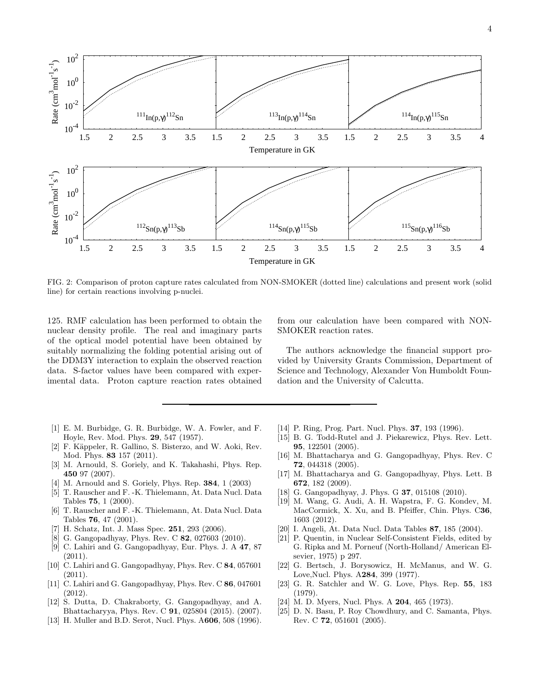

<span id="page-3-21"></span>FIG. 2: Comparison of proton capture rates calculated from NON-SMOKER (dotted line) calculations and present work (solid line) for certain reactions involving p-nuclei.

125. RMF calculation has been performed to obtain the nuclear density profile. The real and imaginary parts of the optical model potential have been obtained by suitably normalizing the folding potential arising out of the DDM3Y interaction to explain the observed reaction data. S-factor values have been compared with experimental data. Proton capture reaction rates obtained

from our calculation have been compared with NON-SMOKER reaction rates.

The authors acknowledge the financial support provided by University Grants Commission, Department of Science and Technology, Alexander Von Humboldt Foundation and the University of Calcutta.

- <span id="page-3-0"></span>[1] E. M. Burbidge, G. R. Burbidge, W. A. Fowler, and F. Hoyle, Rev. Mod. Phys. 29, 547 (1957).
- [2] F. Käppeler, R. Gallino, S. Bisterzo, and W. Aoki, Rev. Mod. Phys. 83 157 (2011).
- [3] M. Arnould, S. Goriely, and K. Takahashi, Phys. Rep. 450 97 (2007).
- <span id="page-3-1"></span>[4] M. Arnould and S. Goriely, Phys. Rep. 384, 1 (2003)
- <span id="page-3-2"></span>[5] T. Rauscher and F. -K. Thielemann, At. Data Nucl. Data Tables 75, 1 (2000).
- <span id="page-3-3"></span>[6] T. Rauscher and F. -K. Thielemann, At. Data Nucl. Data Tables 76, 47 (2001).
- <span id="page-3-4"></span>[7] H. Schatz, Int. J. Mass Spec. **251**, 293 (2006).
- <span id="page-3-5"></span>[8] G. Gangopadhyay, Phys. Rev. C **82**, 027603 (2010).
- [9] C. Lahiri and G. Gangopadhyay, Eur. Phys. J. A 47, 87  $(2011).$
- [10] C. Lahiri and G. Gangopadhyay, Phys. Rev. C 84, 057601 (2011).
- <span id="page-3-20"></span>[11] C. Lahiri and G. Gangopadhyay, Phys. Rev. C 86, 047601 (2012).
- <span id="page-3-6"></span>[12] S. Dutta, D. Chakraborty, G. Gangopadhyay, and A. Bhattacharyya, Phys. Rev. C 91, 025804 (2015). (2007).
- <span id="page-3-7"></span>[13] H. Muller and B.D. Serot, Nucl. Phys. A606, 508 (1996).
- <span id="page-3-8"></span>[14] P. Ring, Prog. Part. Nucl. Phys. **37**, 193 (1996).
- <span id="page-3-9"></span>[15] B. G. Todd-Rutel and J. Piekarewicz, Phys. Rev. Lett. 95, 122501 (2005).
- <span id="page-3-10"></span>[16] M. Bhattacharya and G. Gangopadhyay, Phys. Rev. C 72, 044318 (2005).
- <span id="page-3-11"></span>[17] M. Bhattacharya and G. Gangopadhyay, Phys. Lett. B 672, 182 (2009).
- <span id="page-3-12"></span>[18] G. Gangopadhyay, J. Phys. G **37**, 015108 (2010).
- <span id="page-3-13"></span>[19] M. Wang, G. Audi, A. H. Wapstra, F. G. Kondev, M. MacCormick, X. Xu, and B. Pfeiffer, Chin. Phys. C36, 1603 (2012).
- <span id="page-3-14"></span>[20] I. Angeli, At. Data Nucl. Data Tables 87, 185 (2004).
- <span id="page-3-15"></span>[21] P. Quentin, in Nuclear Self-Consistent Fields, edited by G. Ripka and M. Porneuf (North-Holland/ American Elsevier, 1975) p 297.
- <span id="page-3-16"></span>[22] G. Bertsch, J. Borysowicz, H. McManus, and W. G. Love,Nucl. Phys. A284, 399 (1977).
- <span id="page-3-17"></span>[23] G. R. Satchler and W. G. Love, Phys. Rep. 55, 183 (1979).
- <span id="page-3-18"></span>[24] M. D. Myers, Nucl. Phys. A **204**, 465 (1973).
- <span id="page-3-19"></span>[25] D. N. Basu, P. Roy Chowdhury, and C. Samanta, Phys. Rev. C 72, 051601 (2005).